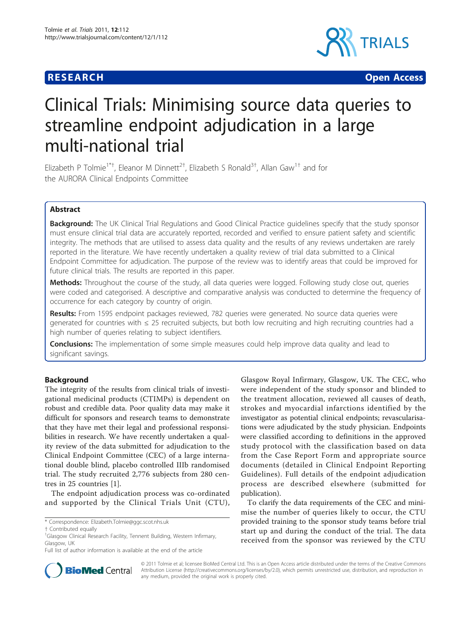## **RESEARCH CHRISTIAN CONSUMING CONTRACT CONSUMING CONSUMING CONSUMING CONSUMING CONSUMING CONSUMING CONSUMING CO**



# Clinical Trials: Minimising source data queries to streamline endpoint adjudication in a large multi-national trial

Elizabeth P Tolmie<sup>1\*†</sup>, Eleanor M Dinnett<sup>2†</sup>, Elizabeth S Ronald<sup>3†</sup>, Allan Gaw<sup>1†</sup> and for the AURORA Clinical Endpoints Committee

## Abstract

**Background:** The UK Clinical Trial Regulations and Good Clinical Practice guidelines specify that the study sponsor must ensure clinical trial data are accurately reported, recorded and verified to ensure patient safety and scientific integrity. The methods that are utilised to assess data quality and the results of any reviews undertaken are rarely reported in the literature. We have recently undertaken a quality review of trial data submitted to a Clinical Endpoint Committee for adjudication. The purpose of the review was to identify areas that could be improved for future clinical trials. The results are reported in this paper.

Methods: Throughout the course of the study, all data queries were logged. Following study close out, queries were coded and categorised. A descriptive and comparative analysis was conducted to determine the frequency of occurrence for each category by country of origin.

Results: From 1595 endpoint packages reviewed, 782 queries were generated. No source data queries were generated for countries with ≤ 25 recruited subjects, but both low recruiting and high recruiting countries had a high number of queries relating to subject identifiers.

**Conclusions:** The implementation of some simple measures could help improve data quality and lead to significant savings.

## Background

The integrity of the results from clinical trials of investigational medicinal products (CTIMPs) is dependent on robust and credible data. Poor quality data may make it difficult for sponsors and research teams to demonstrate that they have met their legal and professional responsibilities in research. We have recently undertaken a quality review of the data submitted for adjudication to the Clinical Endpoint Committee (CEC) of a large international double blind, placebo controlled IIIb randomised trial. The study recruited 2,776 subjects from 280 centres in 25 countries [\[1](#page-5-0)].

The endpoint adjudication process was co-ordinated and supported by the Clinical Trials Unit (CTU),

Glasgow Royal Infirmary, Glasgow, UK. The CEC, who were independent of the study sponsor and blinded to the treatment allocation, reviewed all causes of death, strokes and myocardial infarctions identified by the investigator as potential clinical endpoints; revascularisations were adjudicated by the study physician. Endpoints were classified according to definitions in the approved study protocol with the classification based on data from the Case Report Form and appropriate source documents (detailed in Clinical Endpoint Reporting Guidelines). Full details of the endpoint adjudication process are described elsewhere (submitted for publication).

To clarify the data requirements of the CEC and minimise the number of queries likely to occur, the CTU provided training to the sponsor study teams before trial start up and during the conduct of the trial. The data received from the sponsor was reviewed by the CTU



© 2011 Tolmie et al; licensee BioMed Central Ltd. This is an Open Access article distributed under the terms of the Creative Commons Attribution License [\(http://creativecommons.org/licenses/by/2.0](http://creativecommons.org/licenses/by/2.0)), which permits unrestricted use, distribution, and reproduction in any medium, provided the original work is properly cited.

<sup>\*</sup> Correspondence: [Elizabeth.Tolmie@ggc.scot.nhs.uk](mailto:Elizabeth.Tolmie@ggc.scot.nhs.uk)

<sup>†</sup> Contributed equally <sup>1</sup>

<sup>&</sup>lt;sup>1</sup>Glasgow Clinical Research Facility, Tennent Building, Western Infirmary, Glasgow, UK

Full list of author information is available at the end of the article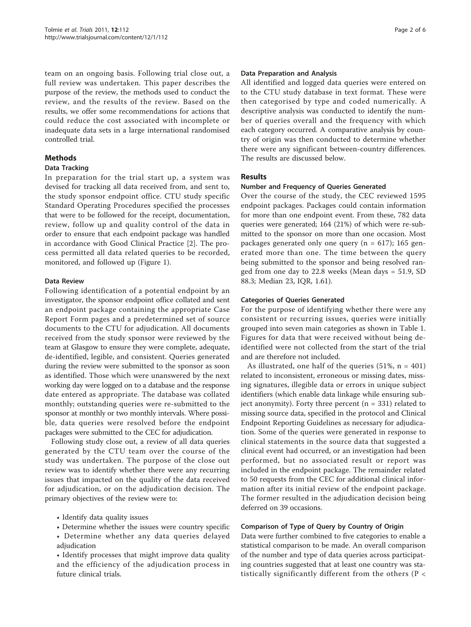team on an ongoing basis. Following trial close out, a full review was undertaken. This paper describes the purpose of the review, the methods used to conduct the review, and the results of the review. Based on the results, we offer some recommendations for actions that could reduce the cost associated with incomplete or inadequate data sets in a large international randomised controlled trial.

## Methods

## Data Tracking

In preparation for the trial start up, a system was devised for tracking all data received from, and sent to, the study sponsor endpoint office. CTU study specific Standard Operating Procedures specified the processes that were to be followed for the receipt, documentation, review, follow up and quality control of the data in order to ensure that each endpoint package was handled in accordance with Good Clinical Practice [\[2](#page-5-0)]. The process permitted all data related queries to be recorded, monitored, and followed up (Figure [1](#page-2-0)).

#### Data Review

Following identification of a potential endpoint by an investigator, the sponsor endpoint office collated and sent an endpoint package containing the appropriate Case Report Form pages and a predetermined set of source documents to the CTU for adjudication. All documents received from the study sponsor were reviewed by the team at Glasgow to ensure they were complete, adequate, de-identified, legible, and consistent. Queries generated during the review were submitted to the sponsor as soon as identified. Those which were unanswered by the next working day were logged on to a database and the response date entered as appropriate. The database was collated monthly; outstanding queries were re-submitted to the sponsor at monthly or two monthly intervals. Where possible, data queries were resolved before the endpoint packages were submitted to the CEC for adjudication.

Following study close out, a review of all data queries generated by the CTU team over the course of the study was undertaken. The purpose of the close out review was to identify whether there were any recurring issues that impacted on the quality of the data received for adjudication, or on the adjudication decision. The primary objectives of the review were to:

- Identify data quality issues
- Determine whether the issues were country specific
- Determine whether any data queries delayed adjudication
- Identify processes that might improve data quality and the efficiency of the adjudication process in future clinical trials.

#### Data Preparation and Analysis

All identified and logged data queries were entered on to the CTU study database in text format. These were then categorised by type and coded numerically. A descriptive analysis was conducted to identify the number of queries overall and the frequency with which each category occurred. A comparative analysis by country of origin was then conducted to determine whether there were any significant between-country differences. The results are discussed below.

## Results

#### Number and Frequency of Queries Generated

Over the course of the study, the CEC reviewed 1595 endpoint packages. Packages could contain information for more than one endpoint event. From these, 782 data queries were generated; 164 (21%) of which were re-submitted to the sponsor on more than one occasion. Most packages generated only one query ( $n = 617$ ); 165 generated more than one. The time between the query being submitted to the sponsor and being resolved ranged from one day to 22.8 weeks (Mean days = 51.9, SD 88.3; Median 23, IQR, 1.61).

#### Categories of Queries Generated

For the purpose of identifying whether there were any consistent or recurring issues, queries were initially grouped into seven main categories as shown in Table [1](#page-3-0). Figures for data that were received without being deidentified were not collected from the start of the trial and are therefore not included.

As illustrated, one half of the queries  $(51\%, n = 401)$ related to inconsistent, erroneous or missing dates, missing signatures, illegible data or errors in unique subject identifiers (which enable data linkage while ensuring subject anonymity). Forty three percent  $(n = 331)$  related to missing source data, specified in the protocol and Clinical Endpoint Reporting Guidelines as necessary for adjudication. Some of the queries were generated in response to clinical statements in the source data that suggested a clinical event had occurred, or an investigation had been performed, but no associated result or report was included in the endpoint package. The remainder related to 50 requests from the CEC for additional clinical information after its initial review of the endpoint package. The former resulted in the adjudication decision being deferred on 39 occasions.

#### Comparison of Type of Query by Country of Origin

Data were further combined to five categories to enable a statistical comparison to be made. An overall comparison of the number and type of data queries across participating countries suggested that at least one country was statistically significantly different from the others (P <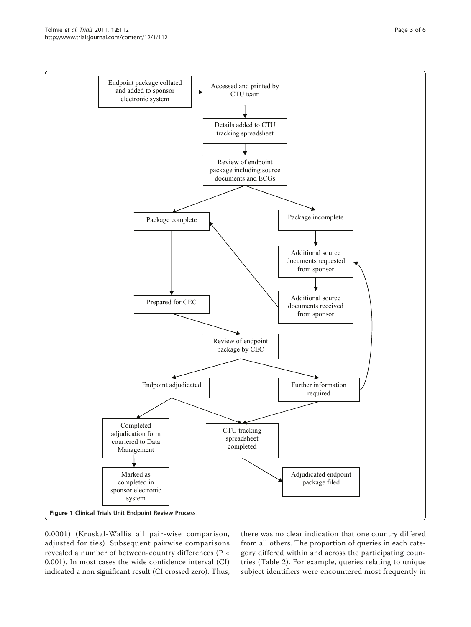<span id="page-2-0"></span>

0.0001) (Kruskal-Wallis all pair-wise comparison, adjusted for ties). Subsequent pairwise comparisons revealed a number of between-country differences (P < 0.001). In most cases the wide confidence interval (CI) indicated a non significant result (CI crossed zero). Thus,

there was no clear indication that one country differed from all others. The proportion of queries in each category differed within and across the participating countries (Table [2\)](#page-3-0). For example, queries relating to unique subject identifiers were encountered most frequently in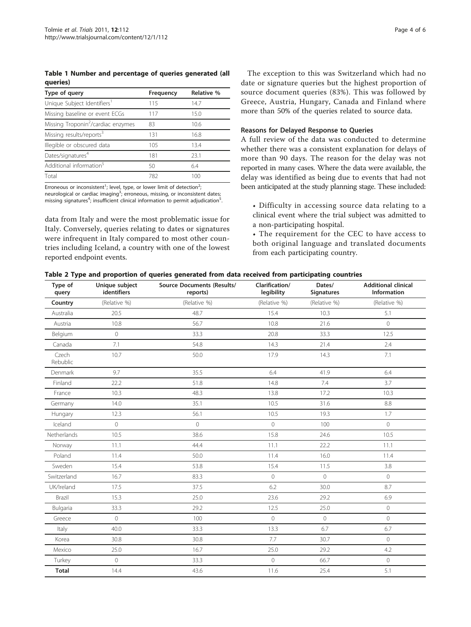<span id="page-3-0"></span>Table 1 Number and percentage of queries generated (all queries)

| Type of query                                  | Frequency | Relative % |  |
|------------------------------------------------|-----------|------------|--|
| Unique Subject Identifiers <sup>1</sup>        | 115       | 14.7       |  |
| Missing baseline or event ECGs                 | 117       | 150        |  |
| Missing Troponin <sup>2</sup> /cardiac enzymes | 83        | 10.6       |  |
| Missing results/reports <sup>3</sup>           | 131       | 16.8       |  |
| Illegible or obscured data                     | 105       | 13.4       |  |
| Dates/signatures <sup>4</sup>                  | 181       | 23.1       |  |
| Additional information <sup>5</sup>            | 50        | 6.4        |  |
| Total                                          | 782       | 100        |  |

Erroneous or inconsistent<sup>1</sup>; level, type, or lower limit of detection<sup>2</sup> ; neurological or cardiac imaging $^3$ ; erroneous, missing, or inconsistent dates; missing signatures<sup>4</sup>; insufficient clinical information to permit adjudication<sup>5</sup> .

data from Italy and were the most problematic issue for Italy. Conversely, queries relating to dates or signatures were infrequent in Italy compared to most other countries including Iceland, a country with one of the lowest reported endpoint events.

#### Reasons for Delayed Response to Queries

A full review of the data was conducted to determine whether there was a consistent explanation for delays of more than 90 days. The reason for the delay was not reported in many cases. Where the data were available, the delay was identified as being due to events that had not been anticipated at the study planning stage. These included:

• Difficulty in accessing source data relating to a clinical event where the trial subject was admitted to a non-participating hospital.

• The requirement for the CEC to have access to both original language and translated documents from each participating country.

|  |  |  |  | Table 2 Type and proportion of queries generated from data received from participating countries |
|--|--|--|--|--------------------------------------------------------------------------------------------------|
|--|--|--|--|--------------------------------------------------------------------------------------------------|

| Type of<br>query  | Unique subject<br>identifiers | <b>Source Documents (Results/</b><br>reports) | Clarification/<br>legibility | Dates/<br><b>Signatures</b> | <b>Additional clinical</b><br>Information |
|-------------------|-------------------------------|-----------------------------------------------|------------------------------|-----------------------------|-------------------------------------------|
| Country           | (Relative %)                  | (Relative %)                                  | (Relative %)                 | (Relative %)                | (Relative %)                              |
| Australia         | 20.5                          | 48.7                                          | 15.4                         | 10.3                        | 5.1                                       |
| Austria           | 10.8                          | 56.7                                          | 10.8                         | 21.6                        | $\circ$                                   |
| Belgium           | $\circ$                       | 33.3                                          | 20.8                         | 33.3                        | 12.5                                      |
| Canada            | 7.1                           | 54.8                                          | 14.3                         | 21.4                        | 2.4                                       |
| Czech<br>Rebublic | 10.7                          | 50.0                                          | 17.9                         | 14.3                        | $7.1\,$                                   |
| Denmark           | 9.7                           | 35.5                                          | 6.4                          | 41.9                        | 6.4                                       |
| Finland           | 22.2                          | 51.8                                          | 14.8                         | 7.4                         | 3.7                                       |
| France            | 10.3                          | 48.3                                          | 13.8                         | 17.2                        | 10.3                                      |
| Germany           | 14.0                          | 35.1                                          | 10.5                         | 31.6                        | 8.8                                       |
| Hungary           | 12.3                          | 56.1                                          | 10.5                         | 19.3                        | 1.7                                       |
| Iceland           | $\circledcirc$                | $\overline{0}$                                | $\overline{0}$               | 100                         | $\circ$                                   |
| Netherlands       | 10.5                          | 38.6                                          | 15.8                         | 24.6                        | 10.5                                      |
| Norway            | 11.1                          | 44.4                                          | 11.1                         | 22.2                        | 11.1                                      |
| Poland            | 11.4                          | 50.0                                          | 11.4                         | 16.0                        | 11.4                                      |
| Sweden            | 15.4                          | 53.8                                          | 15.4                         | 11.5                        | 3.8                                       |
| Switzerland       | 16.7                          | 83.3                                          | $\overline{0}$               | $\circ$                     | $\circ$                                   |
| UK/Ireland        | 17.5                          | 37.5                                          | 6.2                          | 30.0                        | 8.7                                       |
| Brazil            | 15.3                          | 25.0                                          | 23.6                         | 29.2                        | 6.9                                       |
| Bulgaria          | 33.3                          | 29.2                                          | 12.5                         | 25.0                        | $\circ$                                   |
| Greece            | $\mathbf{0}$                  | 100                                           | $\overline{0}$               | $\circ$                     | $\circ$                                   |
| Italy             | 40.0                          | 33.3                                          | 13.3                         | 6.7                         | 6.7                                       |
| Korea             | 30.8                          | 30.8                                          | 7.7                          | 30.7                        | $\circ$                                   |
| Mexico            | 25.0                          | 16.7                                          | 25.0                         | 29.2                        | 4.2                                       |
| Turkey            | $\circledcirc$                | 33.3                                          | $\overline{0}$               | 66.7                        | $\circ$                                   |
| <b>Total</b>      | 14.4                          | 43.6                                          | 11.6                         | 25.4                        | 5.1                                       |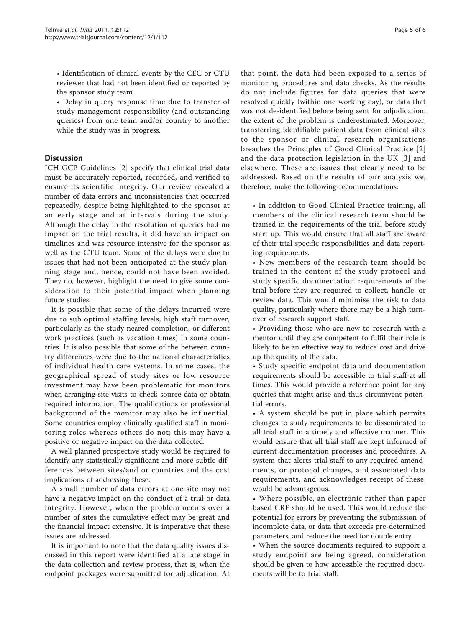• Identification of clinical events by the CEC or CTU reviewer that had not been identified or reported by the sponsor study team.

• Delay in query response time due to transfer of study management responsibility (and outstanding queries) from one team and/or country to another while the study was in progress.

## **Discussion**

ICH GCP Guidelines [[2\]](#page-5-0) specify that clinical trial data must be accurately reported, recorded, and verified to ensure its scientific integrity. Our review revealed a number of data errors and inconsistencies that occurred repeatedly, despite being highlighted to the sponsor at an early stage and at intervals during the study. Although the delay in the resolution of queries had no impact on the trial results, it did have an impact on timelines and was resource intensive for the sponsor as well as the CTU team. Some of the delays were due to issues that had not been anticipated at the study planning stage and, hence, could not have been avoided. They do, however, highlight the need to give some consideration to their potential impact when planning future studies.

It is possible that some of the delays incurred were due to sub optimal staffing levels, high staff turnover, particularly as the study neared completion, or different work practices (such as vacation times) in some countries. It is also possible that some of the between country differences were due to the national characteristics of individual health care systems. In some cases, the geographical spread of study sites or low resource investment may have been problematic for monitors when arranging site visits to check source data or obtain required information. The qualifications or professional background of the monitor may also be influential. Some countries employ clinically qualified staff in monitoring roles whereas others do not; this may have a positive or negative impact on the data collected.

A well planned prospective study would be required to identify any statistically significant and more subtle differences between sites/and or countries and the cost implications of addressing these.

A small number of data errors at one site may not have a negative impact on the conduct of a trial or data integrity. However, when the problem occurs over a number of sites the cumulative effect may be great and the financial impact extensive. It is imperative that these issues are addressed.

It is important to note that the data quality issues discussed in this report were identified at a late stage in the data collection and review process, that is, when the endpoint packages were submitted for adjudication. At

that point, the data had been exposed to a series of monitoring procedures and data checks. As the results do not include figures for data queries that were resolved quickly (within one working day), or data that was not de-identified before being sent for adjudication, the extent of the problem is underestimated. Moreover, transferring identifiable patient data from clinical sites to the sponsor or clinical research organisations breaches the Principles of Good Clinical Practice [[2](#page-5-0)] and the data protection legislation in the UK [[3\]](#page-5-0) and elsewhere. These are issues that clearly need to be addressed. Based on the results of our analysis we, therefore, make the following recommendations:

• In addition to Good Clinical Practice training, all members of the clinical research team should be trained in the requirements of the trial before study start up. This would ensure that all staff are aware of their trial specific responsibilities and data reporting requirements.

• New members of the research team should be trained in the content of the study protocol and study specific documentation requirements of the trial before they are required to collect, handle, or review data. This would minimise the risk to data quality, particularly where there may be a high turnover of research support staff.

• Providing those who are new to research with a mentor until they are competent to fulfil their role is likely to be an effective way to reduce cost and drive up the quality of the data.

• Study specific endpoint data and documentation requirements should be accessible to trial staff at all times. This would provide a reference point for any queries that might arise and thus circumvent potential errors.

• A system should be put in place which permits changes to study requirements to be disseminated to all trial staff in a timely and effective manner. This would ensure that all trial staff are kept informed of current documentation processes and procedures. A system that alerts trial staff to any required amendments, or protocol changes, and associated data requirements, and acknowledges receipt of these, would be advantageous.

• Where possible, an electronic rather than paper based CRF should be used. This would reduce the potential for errors by preventing the submission of incomplete data, or data that exceeds pre-determined parameters, and reduce the need for double entry.

• When the source documents required to support a study endpoint are being agreed, consideration should be given to how accessible the required documents will be to trial staff.